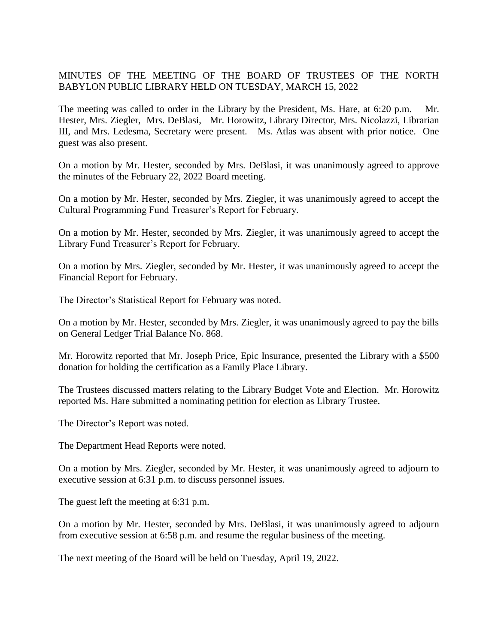## MINUTES OF THE MEETING OF THE BOARD OF TRUSTEES OF THE NORTH BABYLON PUBLIC LIBRARY HELD ON TUESDAY, MARCH 15, 2022

The meeting was called to order in the Library by the President, Ms. Hare, at 6:20 p.m. Mr. Hester, Mrs. Ziegler, Mrs. DeBlasi, Mr. Horowitz, Library Director, Mrs. Nicolazzi, Librarian III, and Mrs. Ledesma, Secretary were present. Ms. Atlas was absent with prior notice. One guest was also present.

On a motion by Mr. Hester, seconded by Mrs. DeBlasi, it was unanimously agreed to approve the minutes of the February 22, 2022 Board meeting.

On a motion by Mr. Hester, seconded by Mrs. Ziegler, it was unanimously agreed to accept the Cultural Programming Fund Treasurer's Report for February.

On a motion by Mr. Hester, seconded by Mrs. Ziegler, it was unanimously agreed to accept the Library Fund Treasurer's Report for February.

On a motion by Mrs. Ziegler, seconded by Mr. Hester, it was unanimously agreed to accept the Financial Report for February.

The Director's Statistical Report for February was noted.

On a motion by Mr. Hester, seconded by Mrs. Ziegler, it was unanimously agreed to pay the bills on General Ledger Trial Balance No. 868.

Mr. Horowitz reported that Mr. Joseph Price, Epic Insurance, presented the Library with a \$500 donation for holding the certification as a Family Place Library.

The Trustees discussed matters relating to the Library Budget Vote and Election. Mr. Horowitz reported Ms. Hare submitted a nominating petition for election as Library Trustee.

The Director's Report was noted.

The Department Head Reports were noted.

On a motion by Mrs. Ziegler, seconded by Mr. Hester, it was unanimously agreed to adjourn to executive session at 6:31 p.m. to discuss personnel issues.

The guest left the meeting at 6:31 p.m.

On a motion by Mr. Hester, seconded by Mrs. DeBlasi, it was unanimously agreed to adjourn from executive session at 6:58 p.m. and resume the regular business of the meeting.

The next meeting of the Board will be held on Tuesday, April 19, 2022.